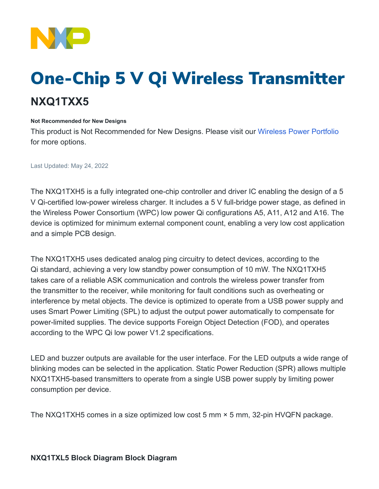

## One-Chip 5 V Qi Wireless Transmitter **NXQ1TXX5**

## **Not Recommended for New Designs**

This product is Not Recommended for New Designs. Please visit our [Wireless Power Portfolio](https://www.nxp.com/products/power-management/wireless-power:WIRCHA_ICS) for more options.

Last Updated: May 24, 2022

The NXQ1TXH5 is a fully integrated one-chip controller and driver IC enabling the design of a 5 V Qi-certified low-power wireless charger. It includes a 5 V full-bridge power stage, as defined in the Wireless Power Consortium (WPC) low power Qi configurations A5, A11, A12 and A16. The device is optimized for minimum external component count, enabling a very low cost application and a simple PCB design.

The NXQ1TXH5 uses dedicated analog ping circuitry to detect devices, according to the Qi standard, achieving a very low standby power consumption of 10 mW. The NXQ1TXH5 takes care of a reliable ASK communication and controls the wireless power transfer from the transmitter to the receiver, while monitoring for fault conditions such as overheating or interference by metal objects. The device is optimized to operate from a USB power supply and uses Smart Power Limiting (SPL) to adjust the output power automatically to compensate for power-limited supplies. The device supports Foreign Object Detection (FOD), and operates according to the WPC Qi low power V1.2 specifications.

LED and buzzer outputs are available for the user interface. For the LED outputs a wide range of blinking modes can be selected in the application. Static Power Reduction (SPR) allows multiple NXQ1TXH5-based transmitters to operate from a single USB power supply by limiting power consumption per device.

The NXQ1TXH5 comes in a size optimized low cost 5 mm × 5 mm, 32-pin HVQFN package.